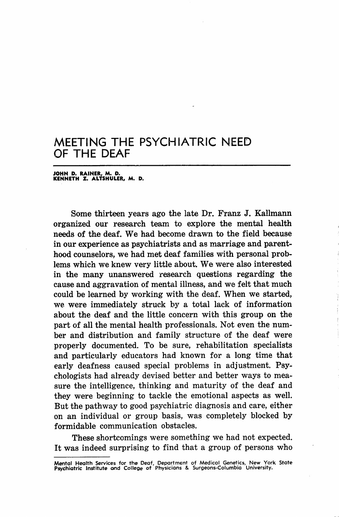## MEETING THE PSYCHIATRIC NEED OF THE DEAF

JOHN D. RAINER, M. D. KENNETH Z. ALTSHULER, M. D.

Some thirteen years ago the late Dr. Franz J. Kallmann organized our research team to explore the mental health needs of the deaf. We had become drawn to the field because in our experience as psychiatrists and as marriage and parent hood counselors, we had met deaf families with personal prob lems which we knew very little about. We were also interested in the many unanswered research questions regarding the cause and aggravation of mental illness, and we felt that much could be learned by working with the deaf. When we started, we were immediately struck by a total lack of information about the deaf and the little concern with this group on the part of all the mental health professionals. Not even the num ber and distribution and family structure of the deaf were properly documented. To be sure, rehabilitation specialists and particularly educators had known for a long time that early deafness caused special problems in adjustment. Psy chologists had already devised better and better ways to mea sure the intelligence, thinking and maturity of the deaf and they were beginning to tackle the emotional aspects as well. But the pathway to good psychiatric diagnosis and care, either on an individual or group basis, was completely blocked by formidable communication obstacles.

These shortcomings were something we had not expected. It was indeed surprising to find that a group of persons who

Mental Health Services for the Deaf, Department of Medical Genetics, New York State Psychiatric Institute and College of Physicians & Surgeons-Columbia University.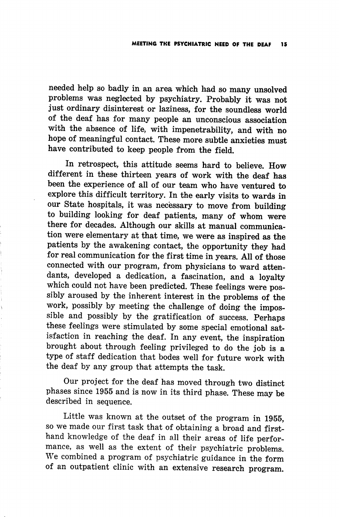needed help so badly in an area which had so many unsolved problems was neglected by psychiatry. Probably it was not just ordinary disinterest or laziness, for the soundless world of the deaf has for many people an unconscious association with the absence of life, with impenetrability, and with no hope of meaningful contact. These more subtle anxieties must have contributed to keep people from the field.

In retrospect, this attitude seems hard to believe. How different in these thirteen years of work with the deaf has been the experience of all of our team who have ventured to explore this difficult territory. In the early visits to wards in our State hospitals, it was necessary to move from building to building looking for deaf patients, many of whom were there for decades. Although our skills at manual communica tion were elementary at that time, we were as inspired as the patients by the awakening contact, the opportunity they had for real communication for the first time in years. All of those connected with our program, from physicians to ward atten dants, developed a dedication, a fascination, and a loyalty which could not have been predicted. These feelings were pos sibly aroused by the inherent interest in the problems of the work, possibly by meeting the challenge of doing the impos sible and possibly by the gratification of success. Perhaps these feelings were stimulated by some special emotional sat isfaction in reaching the deaf. In any event, the inspiration brought about through feeling privileged to do the job is a type of staff dedication that bodes well for future work with the deaf by any group that attempts the task.

Our project for the deaf has moved through two distinct phases since 1955 and is now in its third phase. These may be described in sequence.

Little was known at the outset of the program in 1955, so we made our first task that of obtaining a broad and first hand knowledge of the deaf in all their areas of life perfor mance, as well as the extent of their psychiatric problems. We combined a program of psychiatric guidance in the form of an outpatient clinic with an extensive research program.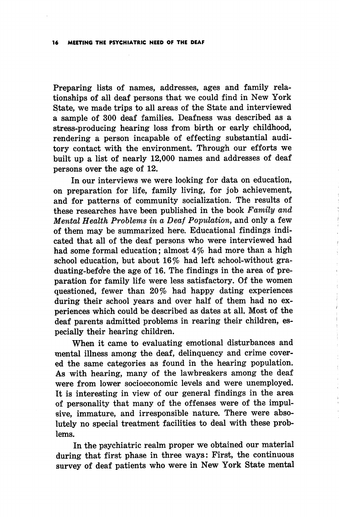Preparing lists of names, addresses, ages and family relationships of all deaf persons that we could find in New York State, we made trips to all areas of the State and interviewed a sample of 300 deaf families. Deafness was described as a stress-producing hearing loss from birth or early childhood, rendering a person incapable of effecting substantial audi tory contact with the environment. Through our efforts we built up a list of nearly 12,000 names and addresses of deaf persons over the age of 12.

In our interviews we were looking for data on education, on preparation for life, family living, for job achievement, and for patterns of community socialization. The results of these researches have been published in the book Family and Mental Health Problems in a Deaf Population, and only a few of them may be summarized here. Educational findings indi cated that all of the deaf persons who were interviewed had had some formal education; almost 4% had more than a high school education, but about 16% had left school-without graduating-before the age of 16. The findings in the area of preparation for family life were less satisfactory. Of the women questioned, fewer than 20% had happy dating experiences during their school years and over half of them had no ex periences which could be described as dates at all. Most of the deaf parents admitted problems in rearing their children, es pecially their hearing children.

When it came to evaluating emotional disturbances and mental illness among the deaf, delinquency and crime cover ed the same categories as found in the hearing population. As with hearing, many of the lawbreakers among the deaf were from lower socioeconomic levels and were unemployed. It is interesting in view of our general findings in the area of personality that many of the offenses were of the impul sive, immature, and irresponsible nature. There were abso lutely no special treatment facilities to deal with these prob lems.

In the psychiatric realm proper we obtained our material during that first phase in three ways: First, the continuous survey of deaf patients who were in New York State mental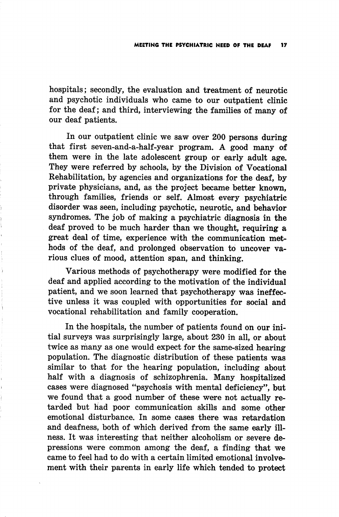hospitals; secondly, the evaluation and treatment of neurotic and psychotic individuals who came to our outpatient clinic for the deaf; and third, interviewing the families of many of our deaf patients.

In our outpatient clinic we saw over 200 persons during that first seven-and-a-half-year program. A good many of them were in the late adolescent group or early adult age. They were referred by schools, by the Division of Vocational Rehabilitation, by agencies and organizations for the deaf, by private physicians, and, as the project became better known, through families, friends or self. Almost every psychiatric disorder was seen, including psychotic, neurotic, and behavior syndromes. The job of making a psychiatric diagnosis in the deaf proved to be much harder than we thought, requiring a great deal of time, experience with the communication met hods of the deaf, and prolonged observation to uncover va rious clues of mood, attention span, and thinking.

Various methods of psychotherapy were modified for the deaf and applied according to the motivation of the individual patient, and we soon learned that psychotherapy was ineffec tive unless it was coupled with opportunities for social and vocational rehabilitation and family cooperation.

In the hospitals, the number of patients found on our ini tial surveys was surprisingly large, about 230 in all, or about twice as many as one would expect for the same-sized hearing population. The diagnostic distribution of these patients was similar to that for the hearing population, including about half with a diagnosis of schizophrenia. Many hospitalized cases were diagnosed "psychosis with mental deficiency", but we found that a good number of these were not actually re tarded but had poor communication skills and some other emotional disturbance. In some cases there was retardation and deafness, both of which derived from the same early ill ness. It was interesting that neither alcoholism or severe de pressions were common among the deaf, a finding that we came to feel had to do with a certain limited emotional involve ment with their parents in early life which tended to protect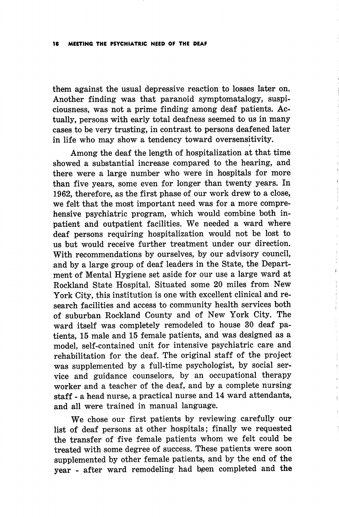them against the usual depressive reaction to losses later on. Another finding was that paranoid symptomatalogy, suspiciousness, was not a prime finding among deaf patients. Ac tually, persons with early total deafness seemed to us in many cases to be very trusting, in contrast to persons deafened later in life who may show a tendency toward oversensitivity.

Among the deaf the length of hospitalization at that time showed a substantial increase compared to the hearing, and there were a large number who were in hospitals for more than five years, some even for longer than twenty years. In 1962, therefore, as the first phase of our work drew to a close, we felt that the most important need was for a more compre hensive psychiatric program, which would combine both inpatient and outpatient facilities. We needed a ward where deaf persons requiring hospitalization would not be lost to us but would receive further treatment under our direction. With recommendations by ourselves, by our advisory council, and by a large group of deaf leaders in the State, the Depart ment of Mental Hygiene set aside for our use a large ward at Rockland State Hospital. Situated some 20 miles from New York City, this institution is one with excellent clinical and re search facilities and access to community health services both of suburban Rockland County and of New York City. The ward itself was completely remodeled to house 30 deaf pa tients, 15 male and 15 female patients, and was designed as a model, self-contained unit for intensive psychiatric care and rehabilitation for the deaf. The original staff of the project was supplemented by a full-time psychologist, by social ser vice and guidance counselors, by an occupational therapy worker and a teacher of the deaf, and by a complete nursing staff - a head nurse, a practical nurse and 14 ward attendants, and all were trained in manual language.

We chose our first patients by reviewing carefully our list of deaf persons at other hospitals; finally we requested the transfer of five female patients whom we felt could be treated with some degree of success. These patients were soon supplemented by other female patients, and by the end of the year - after ward remodeling had been completed and the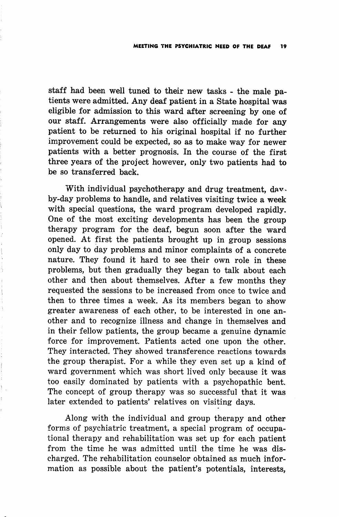staff had been well tuned to their new tasks - the male pa tients were admitted. Any deaf patient in a State hospital was eligible for admission to this ward after screening by one of our staff. Arrangements were also officially made for any patient to be returned to his original hospital if no further improvement could be expected, so as to make way for newer patients with a better prognosis. In the course of the first three years of the project however, only two patients had to be so transferred back.

With individual psychotherapy and drug treatment, davby-day problems to handle, and relatives visiting twice a week with special questions, the ward program developed rapidly. One of the most exciting developments has been the group therapy program for the deaf, begun soon after the ward opened. At first the patients brought up in group sessions only day to day problems and minor complaints of a concrete nature. They found it hard to see their own role in these problems, but then gradually they began to talk about each other and then about themselves. After a few months they requested the sessions to be increased from once to twice and then to three times a week. As its members began to show greater awareness of each other, to be interested in one an other and to recognize illness and change in themselves and in their fellow patients, the group became a genuine dynamic force for improvement. Patients acted one upon the other. They interacted. They showed transference reactions towards the group therapist. For a while they even set up a kind of ward government which was short lived only because it was too easily dominated by patients with a psychopathic bent. The concept of group therapy was so successful that it was later extended to patients' relatives on visiting days.

Along with the individual and group therapy and other forms of psychiatric treatment, a special program of occupa tional therapy and rehabilitation was set up for each patient from the time he was admitted until the time he was dis charged. The rehabilitation counselor obtained as much infor mation as possible about the patient's potentials, interests,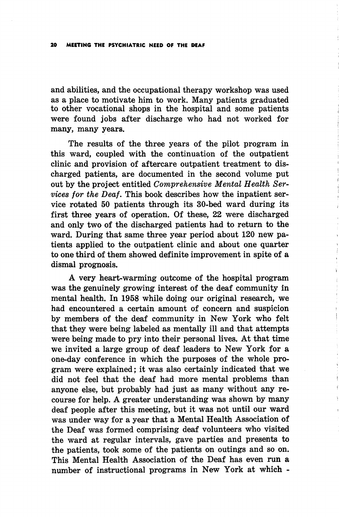and abilities, and the occupational therapy workshop was used as a place to motivate him to work. Many patients graduated to other vocational shops in the hospital and some patients were found jobs after discharge who had not worked for many, many years.

The results of the three years of the pilot program in this ward, coupled with the continuation of the outpatient clinic and provision of aftercare outpatient treatment to dis charged patients, are documented in the second volume put out by the project entitled Comprehensive Mental Health Services for the Deaf. This book describes how the inpatient ser vice rotated 50 patients through its 30-bed ward during its first three years of operation. Of these, 22 were discharged and only two of the discharged patients had to return to the ward. During that same three year period about 120 new pa tients applied to the outpatient clinic and about one quarter to one third of them showed definite improvement in spite of a dismal prognosis.

A very heart-warming outcome of the hospital program was the genuinely growing interest of the deaf community in mental health. In 1958 while doing our original research, we had encountered a certain amount of concern and suspicion by members of the deaf community in New York who felt that they were being labeled as mentally ill and that attempts were being made to pry into their personal lives. At that time we invited a large group of deaf leaders to New York for a one-day conference in which the purposes of the whole pro gram were explained; it was also certainly indicated that we did not feel that the deaf had more mental problems than anyone else, but probably had just as many without any re course for help. A greater understanding was shown by many deaf people after this meeting, but it was not until our ward was under way for a year that a Mental Health Association of the Deaf was formed comprising deaf volunteers who visited the ward at regular intervals, gave parties and presents to the patients, took some of the patients on outings and so on. This Mental Health Association of the Deaf has even run a number of instructional programs in New York at which -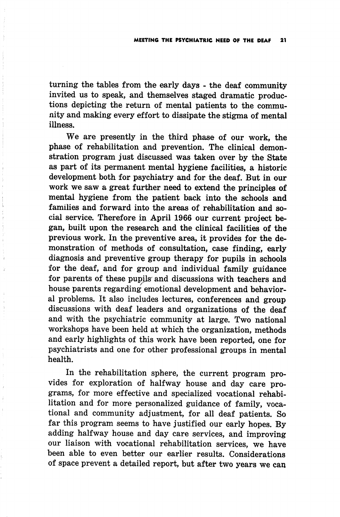turning the tables from the early days - the deaf community invited us to speak, and themselves staged dramatic produc tions depicting the return of mental patients to the commu nity and making every effort to dissipate the stigma of mental illness.

We are presently in the third phase of our work, the phase of rehabilitation and prevention. The clinical demon stration program just discussed was taken over by the State as part of its permanent mental hygiene facilities, a historic development both for psychiatry and for the deaf. But in our work we saw a great further need to extend the principles of mental hygiene from the patient back into the schools and families and forward into the areas of rehabilitation and social service. Therefore in April 1966 our current project be gan, built upon the research and the clinical facilities of the previous work. In the preventive area, it provides for the de monstration of methods of consultation, case finding, early diagnosis and preventive group therapy for pupils in schools for the deaf, and for group and individual family guidance for parents of these pupils and discussions with teachers and house parents regarding emotional development and behavior al problems. It also includes lectures, conferences and group discussions with deaf leaders and organizations of the deaf and with the psychiatric community at large. Two national workshops have been held at which the organization, methods and early highlights of this work have been reported, one for psychiatrists and one for other professional groups in mental health.

In the rehabilitation sphere, the current program pro vides for exploration of halfway house and day care pro grams, for more effective and specialized vocational rehabi litation and for more personalized guidance of family, voca tional and community adjustment, for all deaf patients. So far this program seems to have justified our early hopes. By adding halfway house and day care services, and improving our liaison with vocational rehabilitation services, we have been able to even better our earlier results. Considerations of space prevent a detailed report, but after two years we can